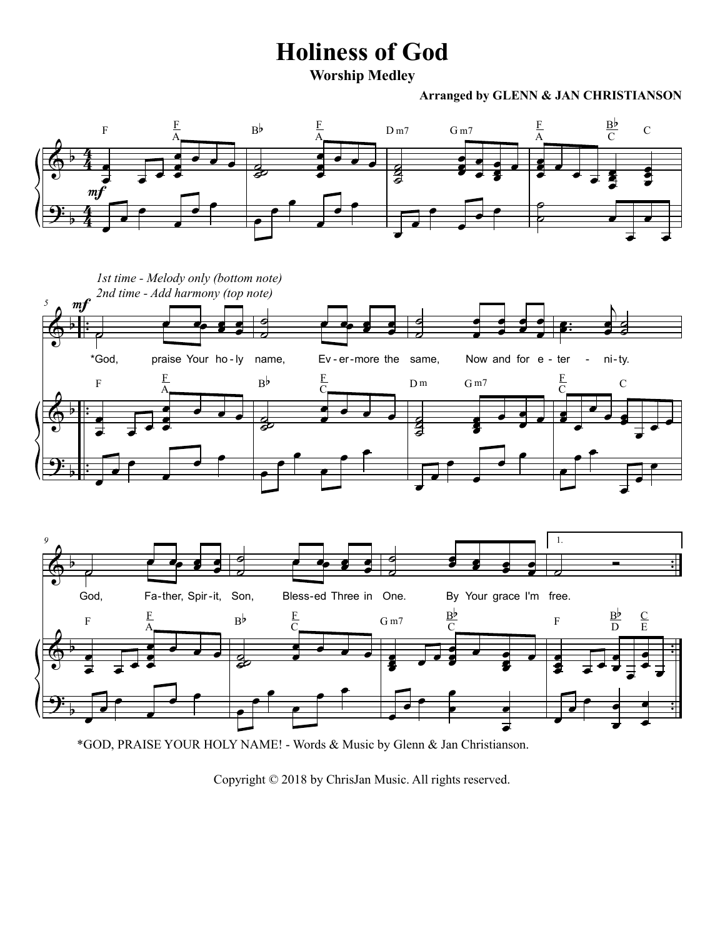## **Holiness of God**

**Worship Medley**

## **Arranged by GLENN & JAN CHRISTIANSON**





\*GOD, PRAISE YOUR HOLY NAME! - Words & Music by Glenn & Jan Christianson.

Copyright © 2018 by ChrisJan Music. All rights reserved.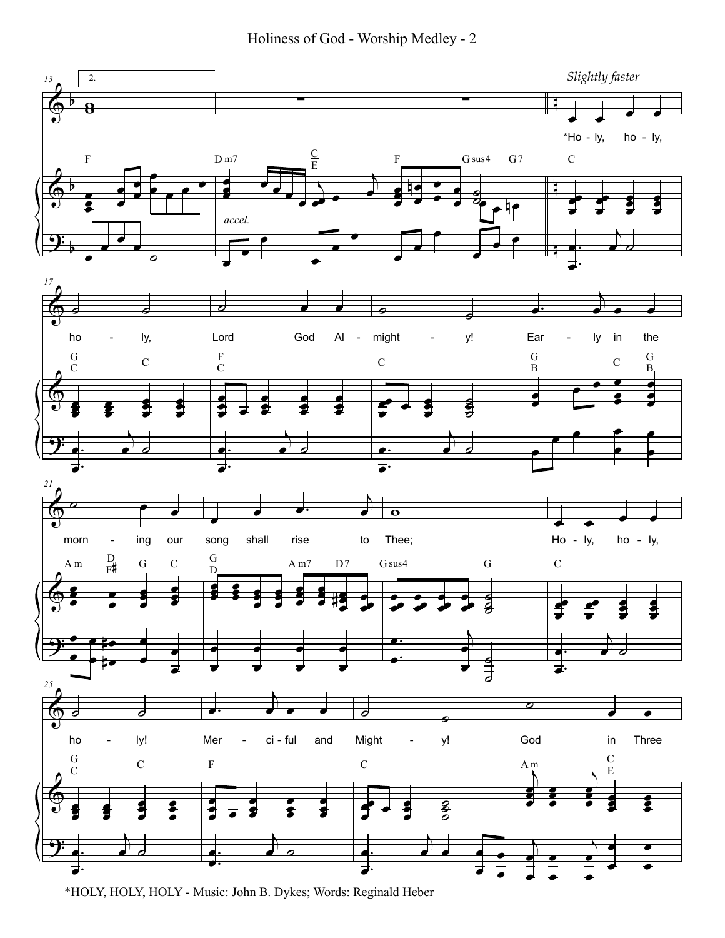Holiness of God - Worship Medley - 2



\*HOLY, HOLY, HOLY - Music: John B. Dykes; Words: Reginald Heber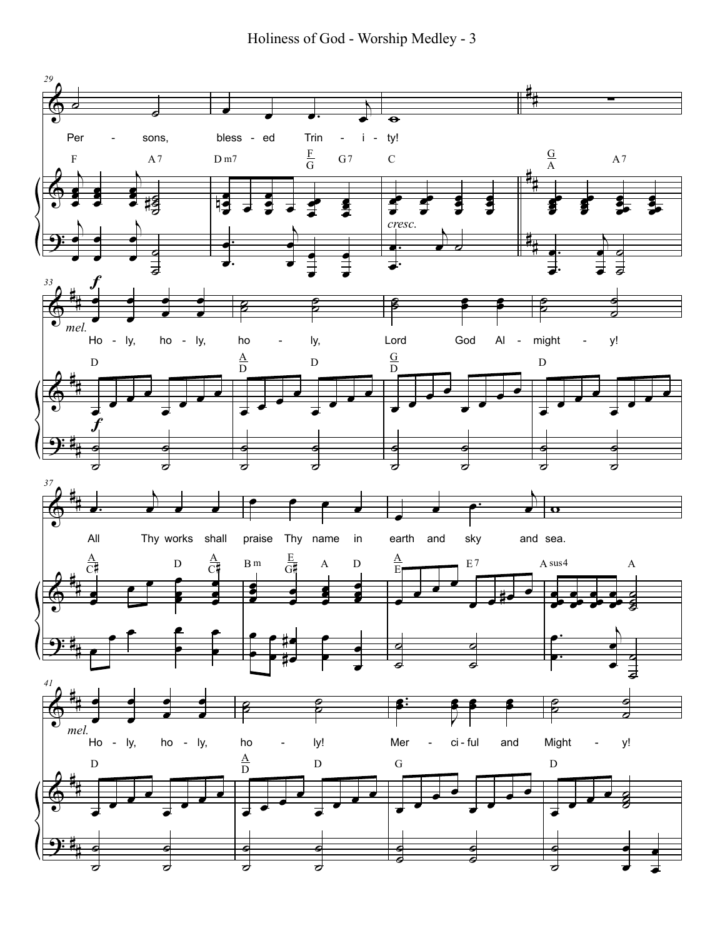Holiness of God - Worship Medley - 3

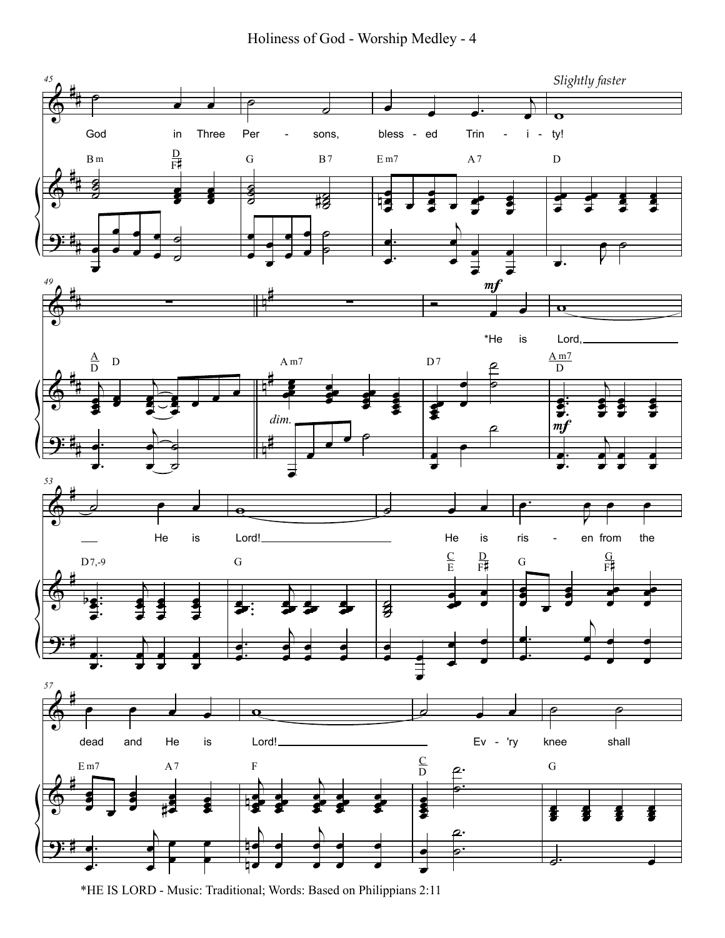Holiness of God - Worship Medley - 4



<sup>\*</sup>HE IS LORD - Music: Traditional; Words: Based on Philippians 2:11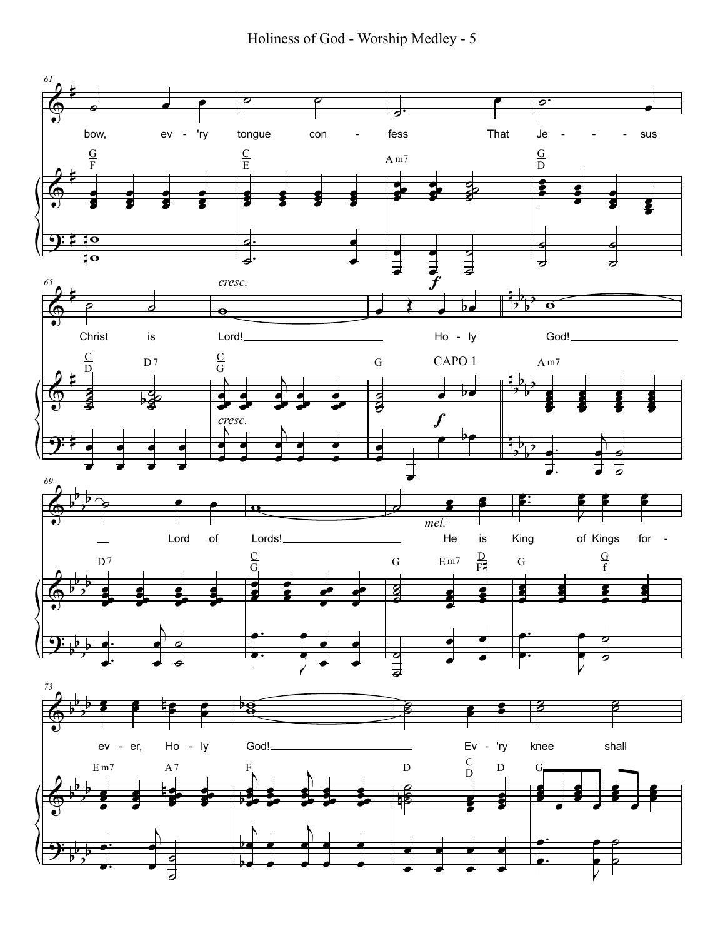Holiness of God - Worship Medley - 5